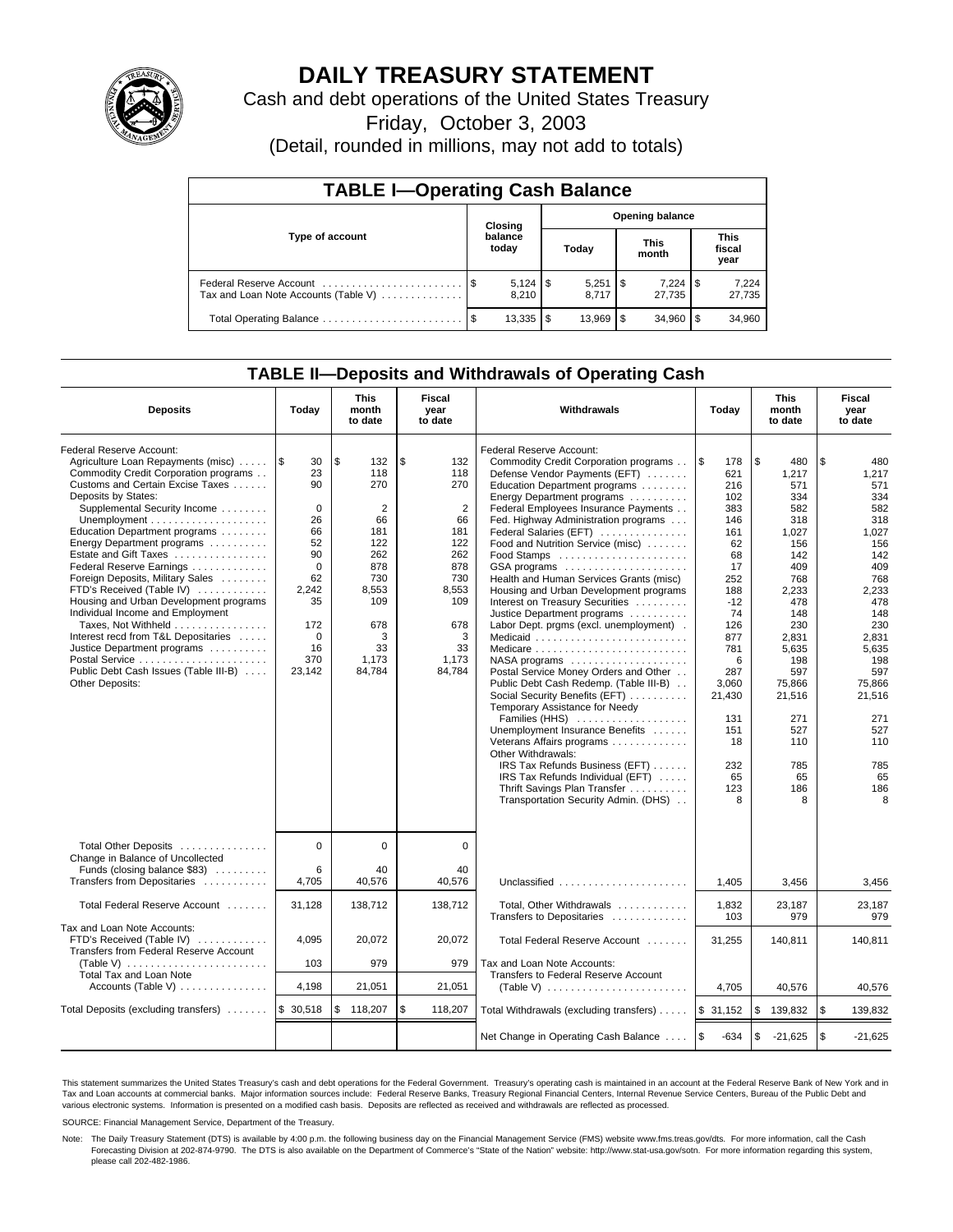

# **DAILY TREASURY STATEMENT**

Cash and debt operations of the United States Treasury

Friday, October 3, 2003

(Detail, rounded in millions, may not add to totals)

| <b>TABLE I-Operating Cash Balance</b>                           |                                   |                  |      |                     |  |                      |     |                               |  |  |
|-----------------------------------------------------------------|-----------------------------------|------------------|------|---------------------|--|----------------------|-----|-------------------------------|--|--|
|                                                                 | <b>Opening balance</b><br>Closing |                  |      |                     |  |                      |     |                               |  |  |
| Type of account                                                 |                                   | balance<br>today |      | Today               |  | <b>This</b><br>month |     | <b>This</b><br>fiscal<br>year |  |  |
| Federal Reserve Account<br>Tax and Loan Note Accounts (Table V) |                                   | 8.210            |      | 8.717               |  | 7,224<br>27.735      | 1\$ | 7,224<br>27,735               |  |  |
| Total Operating Balance                                         | - \$                              | 13,335           | l \$ | $13.969$ $\sqrt{5}$ |  | 34.960               |     | 34,960                        |  |  |

## **TABLE II—Deposits and Withdrawals of Operating Cash**

| <b>Deposits</b>                                                                                                                                                                                                                                                                                                                                                                                                                                                                                                                                                                                                                                                                      | Today                                                                                                                                      | <b>This</b><br>month<br>to date                                                                                                         | <b>Fiscal</b><br>year<br>to date                                                                                                        | <b>Withdrawals</b>                                                                                                                                                                                                                                                                                                                                                                                                                                                                                                                                                                                                                                                                                                                                                                                                                                                                                                                                                                       | Today                                                                                                                                                                                                     | <b>This</b><br>month<br>to date                                                                                                                                                                                     | <b>Fiscal</b><br>year<br>to date                                                                                                                                                                                    |
|--------------------------------------------------------------------------------------------------------------------------------------------------------------------------------------------------------------------------------------------------------------------------------------------------------------------------------------------------------------------------------------------------------------------------------------------------------------------------------------------------------------------------------------------------------------------------------------------------------------------------------------------------------------------------------------|--------------------------------------------------------------------------------------------------------------------------------------------|-----------------------------------------------------------------------------------------------------------------------------------------|-----------------------------------------------------------------------------------------------------------------------------------------|------------------------------------------------------------------------------------------------------------------------------------------------------------------------------------------------------------------------------------------------------------------------------------------------------------------------------------------------------------------------------------------------------------------------------------------------------------------------------------------------------------------------------------------------------------------------------------------------------------------------------------------------------------------------------------------------------------------------------------------------------------------------------------------------------------------------------------------------------------------------------------------------------------------------------------------------------------------------------------------|-----------------------------------------------------------------------------------------------------------------------------------------------------------------------------------------------------------|---------------------------------------------------------------------------------------------------------------------------------------------------------------------------------------------------------------------|---------------------------------------------------------------------------------------------------------------------------------------------------------------------------------------------------------------------|
| Federal Reserve Account:<br>Agriculture Loan Repayments (misc)<br>Commodity Credit Corporation programs<br>Customs and Certain Excise Taxes<br>Deposits by States:<br>Supplemental Security Income<br>Unemployment $\dots\dots\dots\dots\dots\dots\dots$<br>Education Department programs<br>Energy Department programs<br>Estate and Gift Taxes<br>Federal Reserve Earnings<br>Foreign Deposits, Military Sales<br>FTD's Received (Table IV)<br>Housing and Urban Development programs<br>Individual Income and Employment<br>Taxes, Not Withheld<br>Interest recd from T&L Depositaries<br>Justice Department programs<br>Public Debt Cash Issues (Table III-B)<br>Other Deposits: | 1\$<br>30<br>23<br>90<br>$\Omega$<br>26<br>66<br>52<br>90<br>$\mathbf 0$<br>62<br>2.242<br>35<br>172<br>$\mathbf 0$<br>16<br>370<br>23,142 | \$<br>132<br>118<br>270<br>$\overline{2}$<br>66<br>181<br>122<br>262<br>878<br>730<br>8,553<br>109<br>678<br>3<br>33<br>1,173<br>84,784 | \$<br>132<br>118<br>270<br>$\overline{2}$<br>66<br>181<br>122<br>262<br>878<br>730<br>8.553<br>109<br>678<br>3<br>33<br>1,173<br>84.784 | Federal Reserve Account:<br>Commodity Credit Corporation programs<br>Defense Vendor Payments (EFT)<br>Education Department programs<br>Energy Department programs<br>Federal Employees Insurance Payments<br>Fed. Highway Administration programs<br>Federal Salaries (EFT)<br>Food and Nutrition Service (misc)<br>GSA programs<br>Health and Human Services Grants (misc)<br>Housing and Urban Development programs<br>Interest on Treasury Securities<br>Justice Department programs<br>Labor Dept. prgms (excl. unemployment).<br>Medicaid<br>Medicare<br>NASA programs<br>Postal Service Money Orders and Other<br>Public Debt Cash Redemp. (Table III-B)<br>Social Security Benefits (EFT)<br>Temporary Assistance for Needy<br>Families (HHS)<br>Unemployment Insurance Benefits<br>Veterans Affairs programs<br>Other Withdrawals:<br>IRS Tax Refunds Business (EFT)<br>IRS Tax Refunds Individual (EFT)<br>Thrift Savings Plan Transfer<br>Transportation Security Admin. (DHS) | <b>S</b><br>178<br>621<br>216<br>102<br>383<br>146<br>161<br>62<br>68<br>17<br>252<br>188<br>$-12$<br>74<br>126<br>877<br>781<br>6<br>287<br>3,060<br>21,430<br>131<br>151<br>18<br>232<br>65<br>123<br>8 | \$<br>480<br>1,217<br>571<br>334<br>582<br>318<br>1.027<br>156<br>142<br>409<br>768<br>2,233<br>478<br>148<br>230<br>2,831<br>5,635<br>198<br>597<br>75,866<br>21,516<br>271<br>527<br>110<br>785<br>65<br>186<br>8 | \$<br>480<br>1,217<br>571<br>334<br>582<br>318<br>1,027<br>156<br>142<br>409<br>768<br>2,233<br>478<br>148<br>230<br>2,831<br>5,635<br>198<br>597<br>75,866<br>21,516<br>271<br>527<br>110<br>785<br>65<br>186<br>8 |
| Total Other Deposits<br>Change in Balance of Uncollected<br>Funds (closing balance \$83)<br>Transfers from Depositaries                                                                                                                                                                                                                                                                                                                                                                                                                                                                                                                                                              | $\mathbf 0$<br>6<br>4,705                                                                                                                  | $\mathbf 0$<br>40<br>40,576                                                                                                             | 0<br>40<br>40.576                                                                                                                       | Unclassified $\ldots \ldots \ldots \ldots \ldots \ldots$                                                                                                                                                                                                                                                                                                                                                                                                                                                                                                                                                                                                                                                                                                                                                                                                                                                                                                                                 | 1,405                                                                                                                                                                                                     | 3,456                                                                                                                                                                                                               | 3,456                                                                                                                                                                                                               |
| Total Federal Reserve Account                                                                                                                                                                                                                                                                                                                                                                                                                                                                                                                                                                                                                                                        | 31,128                                                                                                                                     | 138,712                                                                                                                                 | 138,712                                                                                                                                 | Total, Other Withdrawals<br>Transfers to Depositaries                                                                                                                                                                                                                                                                                                                                                                                                                                                                                                                                                                                                                                                                                                                                                                                                                                                                                                                                    | 1,832<br>103                                                                                                                                                                                              | 23,187<br>979                                                                                                                                                                                                       | 23,187<br>979                                                                                                                                                                                                       |
| Tax and Loan Note Accounts:<br>FTD's Received (Table IV)<br>Transfers from Federal Reserve Account<br>(Table V)<br>Total Tax and Loan Note<br>Accounts (Table V) $\dots \dots \dots \dots$                                                                                                                                                                                                                                                                                                                                                                                                                                                                                           | 4,095<br>103<br>4,198                                                                                                                      | 20,072<br>979<br>21,051                                                                                                                 | 20.072<br>979<br>21,051                                                                                                                 | Total Federal Reserve Account<br>Tax and Loan Note Accounts:<br>Transfers to Federal Reserve Account<br>(Table V) $\ldots \ldots \ldots \ldots \ldots \ldots \ldots$                                                                                                                                                                                                                                                                                                                                                                                                                                                                                                                                                                                                                                                                                                                                                                                                                     | 31,255<br>4,705                                                                                                                                                                                           | 140.811<br>40,576                                                                                                                                                                                                   | 140.811<br>40,576                                                                                                                                                                                                   |
| Total Deposits (excluding transfers)                                                                                                                                                                                                                                                                                                                                                                                                                                                                                                                                                                                                                                                 | \$30,518                                                                                                                                   | \$<br>118,207                                                                                                                           | \$<br>118,207                                                                                                                           | Total Withdrawals (excluding transfers)                                                                                                                                                                                                                                                                                                                                                                                                                                                                                                                                                                                                                                                                                                                                                                                                                                                                                                                                                  | \$31,152                                                                                                                                                                                                  | \$<br>139,832                                                                                                                                                                                                       | \$<br>139,832                                                                                                                                                                                                       |
|                                                                                                                                                                                                                                                                                                                                                                                                                                                                                                                                                                                                                                                                                      |                                                                                                                                            |                                                                                                                                         |                                                                                                                                         | Net Change in Operating Cash Balance                                                                                                                                                                                                                                                                                                                                                                                                                                                                                                                                                                                                                                                                                                                                                                                                                                                                                                                                                     | l \$<br>$-634$                                                                                                                                                                                            | \$<br>$-21,625$                                                                                                                                                                                                     | \$<br>$-21,625$                                                                                                                                                                                                     |

This statement summarizes the United States Treasury's cash and debt operations for the Federal Government. Treasury's operating cash is maintained in an account at the Federal Reserve Bank of New York and in Tax and Loan accounts at commercial banks. Major information sources include: Federal Reserve Banks, Treasury Regional Financial Centers, Internal Revenue Service Centers, Bureau of the Public Debt and<br>various electronic s

SOURCE: Financial Management Service, Department of the Treasury.

Note: The Daily Treasury Statement (DTS) is available by 4:00 p.m. the following business day on the Financial Management Service (FMS) website www.fms.treas.gov/dts. For more information, call the Cash Forecasting Division at 202-874-9790. The DTS is also available on the Department of Commerce's "State of the Nation" website: http://www.stat-usa.gov/sotn. For more information regarding this system, please call 202-482-1986.